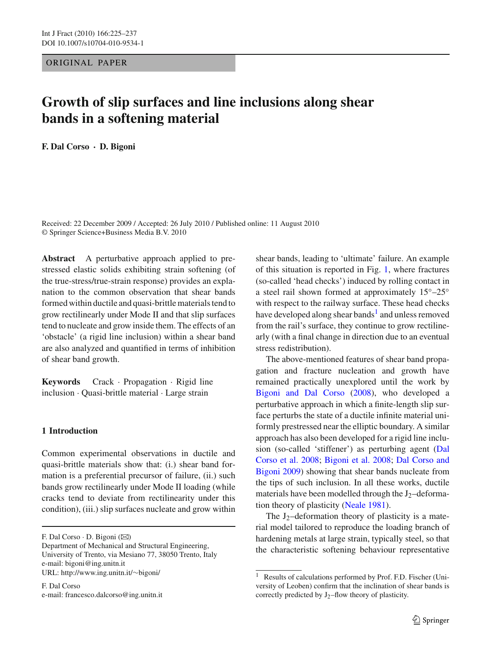## ORIGINAL PAPER

# **Growth of slip surfaces and line inclusions along shear bands in a softening material**

**F. Dal Corso · D. Bigoni**

Received: 22 December 2009 / Accepted: 26 July 2010 / Published online: 11 August 2010 © Springer Science+Business Media B.V. 2010

**Abstract** A perturbative approach applied to prestressed elastic solids exhibiting strain softening (of the true-stress/true-strain response) provides an explanation to the common observation that shear bands formed within ductile and quasi-brittle materials tend to grow rectilinearly under Mode II and that slip surfaces tend to nucleate and grow inside them. The effects of an 'obstacle' (a rigid line inclusion) within a shear band are also analyzed and quantified in terms of inhibition of shear band growth.

**Keywords** Crack · Propagation · Rigid line inclusion · Quasi-brittle material · Large strain

## **1 Introduction**

Common experimental observations in ductile and quasi-brittle materials show that: (i.) shear band formation is a preferential precursor of failure, (ii.) such bands grow rectilinearly under Mode II loading (while cracks tend to deviate from rectilinearity under this condition), (iii.) slip surfaces nucleate and grow within

F. Dal Corso  $\cdot$  D. Bigoni ( $\boxtimes$ )

Department of Mechanical and Structural Engineering, University of Trento, via Mesiano 77, 38050 Trento, Italy e-mail: bigoni@ing.unitn.it URL: http://www.ing.unitn.it/∼bigoni/

F. Dal Corso e-mail: francesco.dalcorso@ing.unitn.it shear bands, leading to 'ultimate' failure. An example of this situation is reported in Fig. [1,](#page-1-0) where fractures (so-called 'head checks') induced by rolling contact in a steel rail shown formed at approximately 15◦–25◦ with respect to the railway surface. These head checks have developed along shear bands<sup>[1](#page-0-0)</sup> and unless removed from the rail's surface, they continue to grow rectilinearly (with a final change in direction due to an eventual stress redistribution).

The above-mentioned features of shear band propagation and fracture nucleation and growth have remained practically unexplored until the work by [Bigoni and Dal Corso](#page-12-0) [\(2008\)](#page-12-0), who developed a perturbative approach in which a finite-length slip surface perturbs the state of a ductile infinite material uniformly prestressed near the elliptic boundary. A similar approach has also been developed for a rigid line inclusion (so-ca[lled](#page-12-1) ['stiffener'\)](#page-12-1) [as](#page-12-1) [perturbing](#page-12-1) [agent](#page-12-1) [\(](#page-12-1)Dal Corso et al. [2008](#page-12-1); [Bigoni et al. 2008](#page-12-2)[;](#page-12-3) Dal Corso and Bigoni [2009](#page-12-3)) showing that shear bands nucleate from the tips of such inclusion. In all these works, ductile materials have been modelled through the  $J_2$ -deformation theory of plasticity [\(Neale 1981](#page-12-4)).

The  $J_2$ -deformation theory of plasticity is a material model tailored to reproduce the loading branch of hardening metals at large strain, typically steel, so that the characteristic softening behaviour representative

<span id="page-0-0"></span> $\overline{1}$  Results of calculations performed by Prof. F.D. Fischer (University of Leoben) confirm that the inclination of shear bands is correctly predicted by J2–flow theory of plasticity.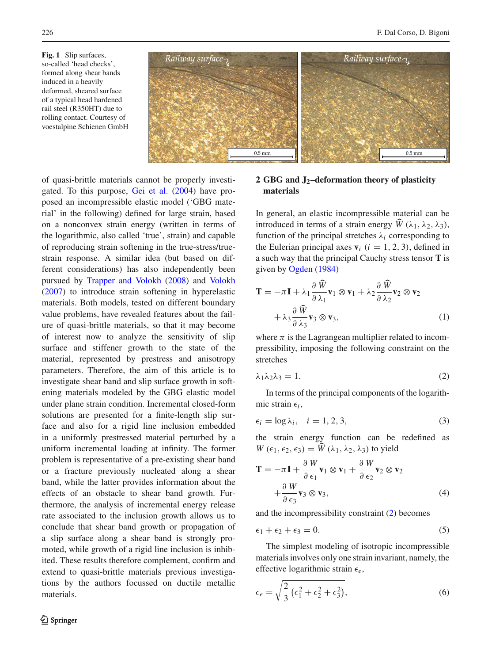<span id="page-1-0"></span>**Fig. 1** Slip surfaces, so-called 'head checks', formed along shear bands induced in a heavily deformed, sheared surface of a typical head hardened rail steel (R350HT) due to rolling contact. Courtesy of voestalpine Schienen GmbH



of quasi-brittle materials cannot be properly investigated. To this purpose, [Gei et al.](#page-12-5) [\(2004\)](#page-12-5) have proposed an incompressible elastic model ('GBG material' in the following) defined for large strain, based on a nonconvex strain energy (written in terms of the logarithmic, also called 'true', strain) and capable of reproducing strain softening in the true-stress/truestrain response. A similar idea (but based on different considerations) has also independently been pursued by [Trapper and Volokh](#page-12-6) [\(2008\)](#page-12-6) and [Volokh](#page-12-7) [\(2007\)](#page-12-7) to introduce strain softening in hyperelastic materials. Both models, tested on different boundary value problems, have revealed features about the failure of quasi-brittle materials, so that it may become of interest now to analyze the sensitivity of slip surface and stiffener growth to the state of the material, represented by prestress and anisotropy parameters. Therefore, the aim of this article is to investigate shear band and slip surface growth in softening materials modeled by the GBG elastic model under plane strain condition. Incremental closed-form solutions are presented for a finite-length slip surface and also for a rigid line inclusion embedded in a uniformly prestressed material perturbed by a uniform incremental loading at infinity. The former problem is representative of a pre-existing shear band or a fracture previously nucleated along a shear band, while the latter provides information about the effects of an obstacle to shear band growth. Furthermore, the analysis of incremental energy release rate associated to the inclusion growth allows us to conclude that shear band growth or propagation of a slip surface along a shear band is strongly promoted, while growth of a rigid line inclusion is inhibited. These results therefore complement, confirm and extend to quasi-brittle materials previous investigations by the authors focussed on ductile metallic materials.

## $\mathcal{D}$  Springer

## **2 GBG and J2–deformation theory of plasticity materials**

In general, an elastic incompressible material can be In general, an elastic incompressible material can be<br>introduced in terms of a strain energy  $\hat{W}(\lambda_1, \lambda_2, \lambda_3)$ , function of the principal stretches  $\lambda_i$  corresponding to the Eulerian principal axes  $\mathbf{v}_i$  ( $i = 1, 2, 3$ ), defined in a such way that the principal Cauchy stress tensor **T** is<br>given by Ogden (1984)<br> $\frac{\partial \widehat{W}}{\partial q}$  *Q W*<sub>-2</sub> *Q w*<sub>-2</sub> *Q w* given by [Ogden](#page-12-8) [\(1984\)](#page-12-8)

$$
\mathbf{T} = -\pi \mathbf{I} + \lambda_1 \frac{\partial \widehat{W}}{\partial \lambda_1} \mathbf{v}_1 \otimes \mathbf{v}_1 + \lambda_2 \frac{\partial \widehat{W}}{\partial \lambda_2} \mathbf{v}_2 \otimes \mathbf{v}_2 + \lambda_3 \frac{\partial \widehat{W}}{\partial \lambda_3} \mathbf{v}_3 \otimes \mathbf{v}_3,
$$
 (1)

where  $\pi$  is the Lagrangean multiplier related to incompressibility, imposing the following constraint on the stretches

<span id="page-1-1"></span>
$$
\lambda_1 \lambda_2 \lambda_3 = 1. \tag{2}
$$

In terms of the principal components of the logarithmic strain  $\epsilon_i$ ,

$$
\epsilon_i = \log \lambda_i, \quad i = 1, 2, 3,
$$
\n<sup>(3)</sup>

the strain energy function can be redefined as  $\epsilon_i = \log \lambda_i$ ,  $i = 1, 2, 3$ ,<br>the strain energy function can be<br> $W(\epsilon_1, \epsilon_2, \epsilon_3) = \hat{W}(\lambda_1, \lambda_2, \lambda_3)$  to yield

<span id="page-1-2"></span>
$$
\mathbf{T} = -\pi \mathbf{I} + \frac{\partial W}{\partial \epsilon_1} \mathbf{v}_1 \otimes \mathbf{v}_1 + \frac{\partial W}{\partial \epsilon_2} \mathbf{v}_2 \otimes \mathbf{v}_2 + \frac{\partial W}{\partial \epsilon_3} \mathbf{v}_3 \otimes \mathbf{v}_3,
$$
 (4)

and the incompressibility constraint [\(2\)](#page-1-1) becomes

<span id="page-1-3"></span>
$$
\epsilon_1 + \epsilon_2 + \epsilon_3 = 0. \tag{5}
$$

The simplest modeling of isotropic incompressible materials involves only one strain invariant, namely, the effective logarithmic strain *e*,

$$
\epsilon_e = \sqrt{\frac{2}{3} \left( \epsilon_1^2 + \epsilon_2^2 + \epsilon_3^2 \right)},\tag{6}
$$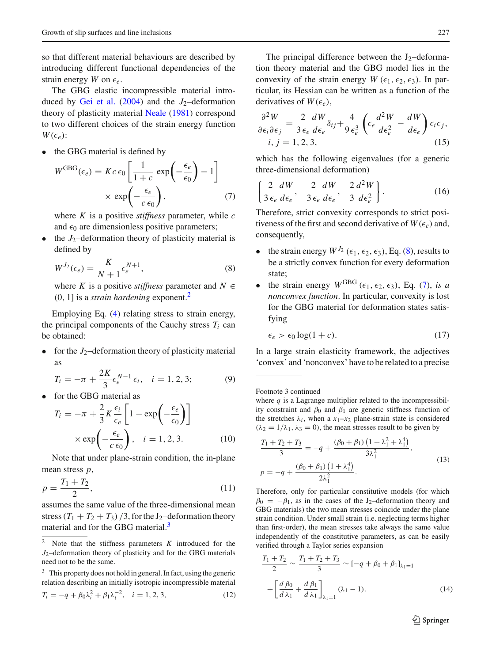so that different material behaviours are described by introducing different functional dependencies of the strain energy *W* on  $\epsilon_e$ .

The GBG elastic incompressible material intro-duced by [Gei et al.](#page-12-5)  $(2004)$  $(2004)$  and the  $J_2$ -deformation theory of plasticity material [Neale](#page-12-4) [\(1981](#page-12-4)) correspond to two different choices of the strain energy function  $W(\epsilon_0)$ :  $W(\epsilon_e)$ :

<span id="page-2-3"></span>• the GBG material is defined by  $\overline{a}$ 

$$
\epsilon_e):
$$
\nthe GBG material is defined by

\n
$$
W^{GBG}(\epsilon_e) = Kc \epsilon_0 \left[ \frac{1}{1+c} \exp\left(-\frac{\epsilon_e}{\epsilon_0}\right) - 1 \right]
$$
\n
$$
\times \exp\left(-\frac{\epsilon_e}{c \epsilon_0}\right), \tag{7}
$$

where *K* is a positive *stiffness* parameter, while *c* and  $\epsilon_0$  are dimensionless positive parameters;

<span id="page-2-2"></span>the  $J_2$ -deformation theory of plasticity material is defined by

$$
W^{J_2}(\epsilon_e) = \frac{K}{N+1} \epsilon_e^{N+1},\tag{8}
$$

where *K* is a positive *stiffness* parameter and  $N \in$ (0, 1] is a *strain hardening* exponent[.2](#page-2-0)

Employing Eq. [\(4\)](#page-1-2) relating stress to strain energy, the principal components of the Cauchy stress  $T_i$  can be obtained:

for the  $J_2$ -deformation theory of plasticity material as

$$
T_i = -\pi + \frac{2K}{3} \epsilon_e^{N-1} \epsilon_i, \quad i = 1, 2, 3; \tag{9}
$$
  
for the GBG material as  

$$
T_i = -\pi + \frac{2}{3} K \frac{\epsilon_i}{n} \left[ 1 - \exp\left( -\frac{\epsilon_e}{n} \right) \right]
$$

<span id="page-2-4"></span>

• for the GBG material as  
\n
$$
T_i = -\pi + \frac{2}{3} K \frac{\epsilon_i}{\epsilon_e} \left[ 1 - \exp\left(-\frac{\epsilon_e}{\epsilon_0}\right) \right]
$$
\n
$$
\times \exp\left(-\frac{\epsilon_e}{c \epsilon_0}\right), \quad i = 1, 2, 3. \tag{10}
$$

Note that under plane-strain condition, the in-plane mean stress *p*,

$$
p = \frac{T_1 + T_2}{2},\tag{11}
$$

assumes the same value of the three-dimensional mean stress  $(T_1 + T_2 + T_3)$  /3, for the J<sub>2</sub>–deformation theory material and for the GBG material.<sup>3</sup>

$$
T_i = -q + \beta_0 \lambda_i^2 + \beta_1 \lambda_i^{-2}, \quad i = 1, 2, 3,
$$
 (12)

The principal difference between the  $J_2$ –deformation theory material and the GBG model lies in the convexity of the strain energy *W* ( $\epsilon_1$ ,  $\epsilon_2$ ,  $\epsilon_3$ ). In particular, its Hessian can be written as a function of the derivatives of  $W(\epsilon_e)$ ,

$$
\frac{\partial^2 W}{\partial \epsilon_i \partial \epsilon_j} = \frac{2}{3 \epsilon_e} \frac{dW}{d\epsilon_e} \delta_{ij} + \frac{4}{9 \epsilon_e^3} \left( \epsilon_e \frac{d^2 W}{d\epsilon_e^2} - \frac{dW}{d\epsilon_e} \right) \epsilon_i \epsilon_j,
$$
  
i, j = 1, 2, 3, (15)

which has the following eigenvalues (for a generic three-dimensional deformation) <u> 1990 - Johann Barbara, m</u>

$$
\left\{\frac{2}{3\epsilon_e}\frac{dW}{d\epsilon_e}, \quad \frac{2}{3\epsilon_e}\frac{dW}{d\epsilon_e}, \quad \frac{2}{3}\frac{d^2W}{d\epsilon_e^2}\right\}.
$$
 (16)

Therefore, strict convexity corresponds to strict positiveness of the first and second derivative of  $W(\epsilon_e)$  and, consequently,

- the strain energy  $W^{J_2}$  ( $\epsilon_1$ ,  $\epsilon_2$ ,  $\epsilon_3$ ), Eq. [\(8\)](#page-2-2), results to be a strictly convex function for every deformation state;
- the strain energy  $W^{GBG}$  ( $\epsilon_1$ ,  $\epsilon_2$ ,  $\epsilon_3$ ), Eq. [\(7\)](#page-2-3), *is a nonconvex function*. In particular, convexity is lost for the GBG material for deformation states satisfying

$$
\epsilon_e > \epsilon_0 \log(1 + c). \tag{17}
$$

In a large strain elasticity framework, the adjectives 'convex' and 'nonconvex' have to be related to a precise

Footnote 3 continued

where *q* is a Lagrange multiplier related to the incompressibility constraint and  $\beta_0$  and  $\beta_1$  are generic stiffness function of the stretches  $\lambda_i$ , when a  $x_1-x_2$  plane-strain state is considered  $(\lambda_2 = 1/\lambda_1, \lambda_3 = 0)$ , the mean stresses result to be given by

$$
\frac{T_1 + T_2 + T_3}{3} = -q + \frac{(\beta_0 + \beta_1) (1 + \lambda_1^2 + \lambda_1^4)}{3\lambda_1^2},
$$
  
\n
$$
p = -q + \frac{(\beta_0 + \beta_1) (1 + \lambda_1^4)}{2\lambda_1^2}.
$$
\n(13)

Therefore, only for particular constitutive models (for which  $\beta_0 = -\beta_1$ , as in the cases of the J<sub>2</sub>–deformation theory and GBG materials) the two mean stresses coincide under the plane strain condition. Under small strain (i.e. neglecting terms higher than first-order), the mean stresses take always the same value independently of the constitutive parameters, as can be easily verified through a Taylor series expansion

$$
\frac{T_1 + T_2}{2} \sim \frac{T_1 + T_2 + T_3}{3} \sim [-q + \beta_0 + \beta_1]_{\lambda_1 = 1}
$$

$$
+ \left[ \frac{d \beta_0}{d \lambda_1} + \frac{d \beta_1}{d \lambda_1} \right]_{\lambda_1 = 1} (\lambda_1 - 1).
$$
 (14)

 $\mathcal{D}$  Springer

<span id="page-2-0"></span><sup>2</sup> Note that the stiffness parameters *K* introduced for the *J*2–deformation theory of plasticity and for the GBG materials need not to be the same.

<span id="page-2-1"></span> $3$  This property does not hold in general. In fact, using the generic relation describing an initially isotropic incompressible material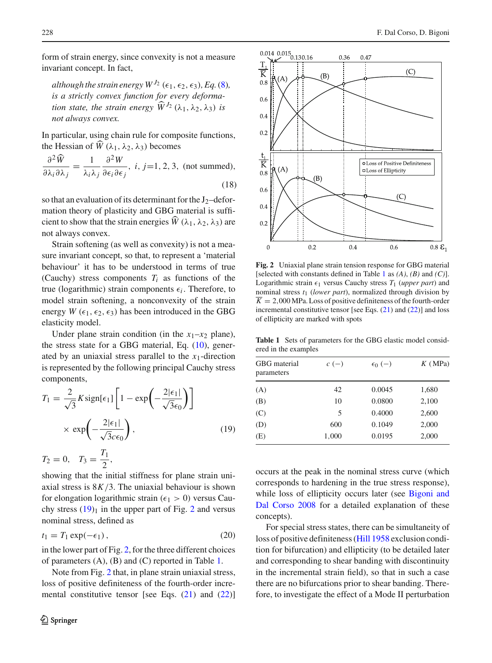form of strain energy, since convexity is not a measure invariant concept. In fact,

*although the strain energy*  $W^{J_2}$  ( $\epsilon_1$ ,  $\epsilon_2$ ,  $\epsilon_3$ ), *Eq.*[\(8\)](#page-2-2)*, is a strictly convex function for every deformaalthough the strain energy*  $W^{J_2}$  *(is a strictly convex function for tion state, the strain energy*  $\widehat{W}$ *tion state, the strain energy*  $\widehat{W}^{J_2}(\lambda_1, \lambda_2, \lambda_3)$  *is not always convex.*

In particular, using chain rule for composite functions, not always con<br>In particular, usin<br>the Hessian of  $\widehat{W}$ the Hessian of  $\hat{W}(\lambda_1, \lambda_2, \lambda_3)$  becomes <sup>n</sup> part<br>ne He<br>∂<sup>2</sup>*W* 

$$
\frac{\partial^2 \widehat{W}}{\partial \lambda_i \partial \lambda_j} = \frac{1}{\lambda_i \lambda_j} \frac{\partial^2 W}{\partial \epsilon_i \partial \epsilon_j}, \ i, j = 1, 2, 3, \text{ (not summed)},
$$
\n(18)

so that an evaluation of its determinant for the  $J_2$ –deformation theory of plasticity and GBG material is suffiso that an evaluation of its determinant for the J<sub>2</sub>-deformation theory of plasticity and GBG material is sufficient to show that the strain energies  $\hat{W}(\lambda_1, \lambda_2, \lambda_3)$  are not always convex.

Strain softening (as well as convexity) is not a measure invariant concept, so that, to represent a 'material behaviour' it has to be understood in terms of true (Cauchy) stress components  $T_i$  as functions of the true (logarithmic) strain components  $\epsilon_i$ . Therefore, to model strain softening, a nonconvexity of the strain energy *W* ( $\epsilon_1$ ,  $\epsilon_2$ ,  $\epsilon_3$ ) has been introduced in the GBG elasticity model.

Under plane strain condition (in the  $x_1-x_2$  plane), the stress state for a GBG material, Eq. [\(10\)](#page-2-4), generated by an uniaxial stress parallel to the *x*1-direction is represented by the following principal Cauchy stress components, tress para<br>ollowing  $\frac{1}{1 - \exp\left(\frac{1}{2}\right)}$ 

<span id="page-3-0"></span>
$$
T_1 = \frac{2}{\sqrt{3}} K \operatorname{sign}[\epsilon_1] \left[ 1 - \exp\left( -\frac{2|\epsilon_1|}{\sqrt{3}\epsilon_0} \right) \right]
$$

$$
\times \exp\left( -\frac{2|\epsilon_1|}{\sqrt{3}c\epsilon_0} \right), \tag{19}
$$

$$
T_2 = 0, \quad T_3 = \frac{T_1}{2},
$$

showing that the initial stiffness for plane strain uniaxial stress is  $8K/3$ . The uniaxial behaviour is shown for elongation logarithmic strain ( $\epsilon_1 > 0$ ) versus Cauchy stress  $(19)<sub>1</sub>$  $(19)<sub>1</sub>$  in the upper part of Fig. [2](#page-3-1) and versus nominal stress, defined as

$$
t_1 = T_1 \exp(-\epsilon_1), \tag{20}
$$

in the lower part of Fig. [2,](#page-3-1) for the three different choices of parameters (A), (B) and (C) reported in Table [1.](#page-3-2)

Note from Fig. [2](#page-3-1) that, in plane strain uniaxial stress, loss of positive definiteness of the fourth-order incremental constitutive tensor [see Eqs.  $(21)$  and  $(22)$ ]



<span id="page-3-1"></span>**Fig. 2** Uniaxial plane strain tension response for GBG material [selected with constants defined in Table [1](#page-3-2) as *(A)*, *(B)* and *(C)*]. Logarithmic strain  $\epsilon_1$  versus Cauchy stress  $T_1$  (*upper part*) and nominal stress *t*<sup>1</sup> (*lower part*), normalized through division by  $\overline{K} = 2,000$  MPa. Loss of positive definiteness of the fourth-order incremental constitutive tensor [see Eqs. [\(21\)](#page-4-0) and [\(22\)](#page-4-1)] and loss of ellipticity are marked with spots

<span id="page-3-2"></span>**Table 1** Sets of parameters for the GBG elastic model considered in the examples

| GBG material<br>parameters | $c$ (-) | $\epsilon_0$ (-) | $K$ (MPa) |  |
|----------------------------|---------|------------------|-----------|--|
| (A)                        | 42      | 0.0045           | 1,680     |  |
| (B)                        | 10      | 0.0800           | 2,100     |  |
| (C)                        | 5       | 0.4000           | 2,600     |  |
| (D)                        | 600     | 0.1049           | 2,000     |  |
| (E)                        | 1,000   | 0.0195           | 2,000     |  |

occurs at the peak in the nominal stress curve (which corresponds to hardening in the true stress response), while loss [of](#page-12-0) [ellipticity](#page-12-0) [occurs](#page-12-0) [later](#page-12-0) [\(see](#page-12-0) Bigoni and Dal Corso [2008](#page-12-0) for a detailed explanation of these concepts).

For special stress states, there can be simultaneity of loss of positive definiteness [\(Hill 1958](#page-12-9) exclusion condition for bifurcation) and ellipticity (to be detailed later and corresponding to shear banding with discontinuity in the incremental strain field), so that in such a case there are no bifurcations prior to shear banding. Therefore, to investigate the effect of a Mode II perturbation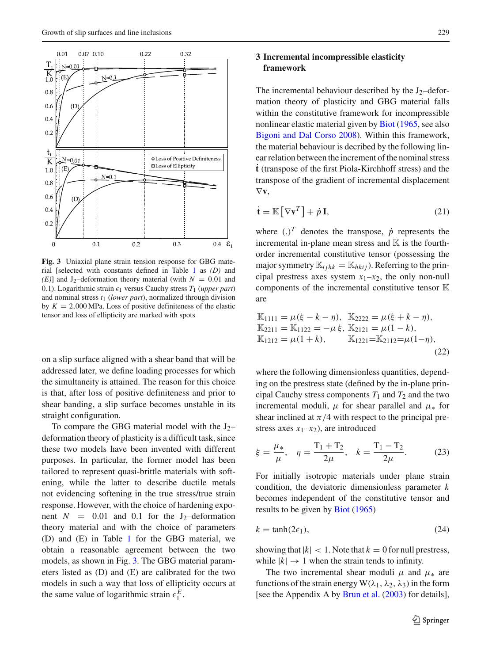

<span id="page-4-2"></span>**Fig. 3** Uniaxial plane strain tension response for GBG material [selected with constants defined in Table [1](#page-3-2) as *(D)* and *(E)*] and J<sub>2</sub>–deformation theory material (with  $N = 0.01$  and 0.1). Logarithmic strain  $\epsilon_1$  versus Cauchy stress  $T_1$  (*upper part*) and nominal stress *t*<sup>1</sup> (*lower part*), normalized through division by  $K = 2,000$  MPa. Loss of positive definiteness of the elastic tensor and loss of ellipticity are marked with spots

on a slip surface aligned with a shear band that will be addressed later, we define loading processes for which the simultaneity is attained. The reason for this choice is that, after loss of positive definiteness and prior to shear banding, a slip surface becomes unstable in its straight configuration.

To compare the GBG material model with the  $J_2$ deformation theory of plasticity is a difficult task, since these two models have been invented with different purposes. In particular, the former model has been tailored to represent quasi-brittle materials with softening, while the latter to describe ductile metals not evidencing softening in the true stress/true strain response. However, with the choice of hardening exponent  $N = 0.01$  and 0.1 for the J<sub>2</sub>-deformation theory material and with the choice of parameters (D) and (E) in Table [1](#page-3-2) for the GBG material, we obtain a reasonable agreement between the two models, as shown in Fig. [3.](#page-4-2) The GBG material parameters listed as (D) and (E) are calibrated for the two models in such a way that loss of ellipticity occurs at the same value of logarithmic strain  $\epsilon_1^E$ .

## **3 Incremental incompressible elasticity framework**

The incremental behaviour described by the  $J_2$ –deformation theory of plasticity and GBG material falls within the constitutive framework for incompressible nonlinear elastic material given by [Biot](#page-12-10) [\(1965,](#page-12-10) see also [Bigoni and Dal Corso 2008\)](#page-12-0). Within this framework, the material behaviour is decribed by the following linear relation between the increment of the nominal stress ˙**t** (transpose of the first Piola-Kirchhoff stress) and the transpose of the gradient of incremental displacement<br>  $\nabla \mathbf{v}$ ,<br>  $\dot{\mathbf{t}} = \mathbb{K} [\nabla \mathbf{v}^T] + \dot{p} \mathbf{I}$ , (21) ∇**v**,

<span id="page-4-0"></span>
$$
\dot{\mathbf{t}} = \mathbb{K} \left[ \nabla \mathbf{v}^T \right] + \dot{p} \, \mathbf{I},\tag{21}
$$

where  $(.)^T$  denotes the transpose,  $\dot{p}$  represents the incremental in-plane mean stress and  $\mathbb K$  is the fourthorder incremental constitutive tensor (possessing the major symmetry  $\mathbb{K}_{ijkk} = \mathbb{K}_{hkij}$ ). Referring to the principal prestress axes system  $x_1-x_2$ , the only non-null components of the incremental constitutive tensor  $\mathbb K$ are

<span id="page-4-1"></span>
$$
\mathbb{K}_{1111} = \mu(\xi - k - \eta), \quad \mathbb{K}_{2222} = \mu(\xi + k - \eta), \n\mathbb{K}_{2211} = \mathbb{K}_{1122} = -\mu \xi, \quad \mathbb{K}_{2121} = \mu(1 - k), \n\mathbb{K}_{1212} = \mu(1 + k), \quad \mathbb{K}_{1221} = \mathbb{K}_{2112} = \mu(1 - \eta),
$$
\n(22)

where the following dimensionless quantities, depending on the prestress state (defined by the in-plane principal Cauchy stress components  $T_1$  and  $T_2$  and the two incremental moduli,  $\mu$  for shear parallel and  $\mu_*$  for shear inclined at  $\pi/4$  with respect to the principal prestress axes  $x_1-x_2$ ), are introduced

<span id="page-4-3"></span>
$$
\xi = \frac{\mu_*}{\mu}, \quad \eta = \frac{T_1 + T_2}{2\mu}, \quad k = \frac{T_1 - T_2}{2\mu}.
$$
 (23)

For initially isotropic materials under plane strain condition, the deviatoric dimensionless parameter *k* becomes independent of the constitutive tensor and results to be given by [Biot](#page-12-10) [\(1965\)](#page-12-10)

<span id="page-4-4"></span>
$$
k = \tanh(2\epsilon_1),\tag{24}
$$

showing that  $|k| < 1$ . Note that  $k = 0$  for null prestress, while  $|k| \rightarrow 1$  when the strain tends to infinity.

The two incremental shear moduli  $\mu$  and  $\mu_*$  are functions of the strain energy  $W(\lambda_1, \lambda_2, \lambda_3)$  in the form [see the Appendix A by [Brun et al.](#page-12-11) [\(2003](#page-12-11)) for details],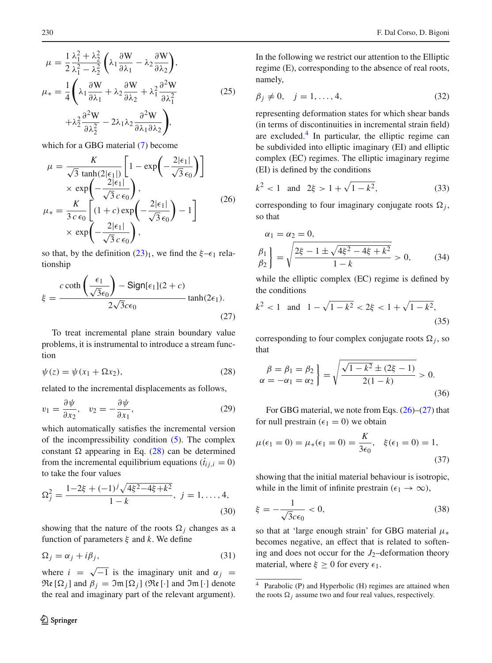$$
\mu = \frac{1}{2} \frac{\lambda_1^2 + \lambda_2^2}{\lambda_1^2 - \lambda_2^2} \left( \lambda_1 \frac{\partial W}{\partial \lambda_1} - \lambda_2 \frac{\partial W}{\partial \lambda_2} \right),
$$
  
\n
$$
\mu_* = \frac{1}{4} \left( \lambda_1 \frac{\partial W}{\partial \lambda_1} + \lambda_2 \frac{\partial W}{\partial \lambda_2} + \lambda_1^2 \frac{\partial^2 W}{\partial \lambda_1^2} + \lambda_2^2 \frac{\partial^2 W}{\partial \lambda_2^2} - 2\lambda_1 \lambda_2 \frac{\partial^2 W}{\partial \lambda_1 \partial \lambda_2} \right),
$$
  
\nwhich for a GBG material (7) become  
\n
$$
\mu = \frac{K}{\sqrt{2} + \lambda_1 \partial \lambda_2} \left[ 1 - \exp\left( -\frac{2|\epsilon_1|}{\sqrt{2}} \right) \right]
$$

which for a GBG material [\(7\)](#page-2-3) become

which for a GBG material (*t*) become  
\n
$$
\mu = \frac{K}{\sqrt{3} \tanh(2|\epsilon_1|)} \left[ 1 - \exp\left(-\frac{2|\epsilon_1|}{\sqrt{3} \epsilon_0}\right) \right]
$$
\n
$$
\times \exp\left(-\frac{2|\epsilon_1|}{\sqrt{3} \epsilon_0}\right),
$$
\n
$$
\mu_* = \frac{K}{3 c \epsilon_0} \left[ (1 + c) \exp\left(-\frac{2|\epsilon_1|}{\sqrt{3} \epsilon_0}\right) - 1 \right]
$$
\n
$$
\times \exp\left(-\frac{2|\epsilon_1|}{\sqrt{3} c \epsilon_0}\right),
$$
\n(26)

<span id="page-5-2"></span>so that, by the definition  $(23)_1$  $(23)_1$ , we find the  $\xi-\epsilon_1$  relationship at, by the de<br>hip<br> $c \coth \left( \frac{\epsilon_1}{\sqrt{2}} \right)$ 

<span id="page-5-3"></span>
$$
\xi = \frac{c \coth\left(\frac{\epsilon_1}{\sqrt{3}\epsilon_0}\right) - \text{Sign}[\epsilon_1](2+c)}{2\sqrt{3}c\epsilon_0} \tanh(2\epsilon_1). \tag{27}
$$

To treat incremental plane strain boundary value problems, it is instrumental to introduce a stream function

<span id="page-5-0"></span>
$$
\psi(z) = \psi(x_1 + \Omega x_2),\tag{28}
$$

related to the incremental displacements as follows,

<span id="page-5-4"></span>
$$
v_1 = \frac{\partial \psi}{\partial x_2}, \quad v_2 = -\frac{\partial \psi}{\partial x_1}, \tag{29}
$$

which automatically satisfies the incremental version of the incompressibility condition [\(5\)](#page-1-3). The complex constant  $\Omega$  appearing in Eq. [\(28\)](#page-5-0) can be determined from the incremental equilibrium equations  $(i_{ij,i} = 0)$ to take the four values

$$
\Omega_j^2 = \frac{1 - 2\xi + (-1)^j \sqrt{4\xi^2 - 4\xi + k^2}}{1 - k}, \ j = 1, \dots, 4,
$$
\n(30)

showing that the nature of the roots  $\Omega_i$  changes as a function of parameters ξ and *k*. We define

$$
\Omega_j = \alpha_j + i\beta_j,\tag{31}
$$

where  $i = \sqrt{-1}$  is the imaginary unit and  $\alpha_j =$  $\mathfrak{Re}[\Omega_i]$  and  $\beta_j = \mathfrak{Im}[\Omega_i]$  ( $\mathfrak{Re}[\cdot]$  and  $\mathfrak{Im}[\cdot]$  denote the real and imaginary part of the relevant argument). In the following we restrict our attention to the Elliptic regime (E), corresponding to the absence of real roots, namely,

$$
\beta_j \neq 0, \quad j = 1, \dots, 4,\tag{32}
$$

representing deformation states for which shear bands (in terms of discontinuities in incremental strain field) are excluded. $4$  In particular, the elliptic regime can be subdivided into elliptic imaginary  $(EI)$  and elliptic complex (EC) regimes. The elliptic imaginary regime (EI) is defined by the conditions

$$
k^2 < 1
$$
 and  $2\xi > 1 + \sqrt{1 - k^2}$ , (33)

corresponding to four imaginary conjugate roots  $\Omega_j$ , so that

so that  
\n
$$
\alpha_1 = \alpha_2 = 0,
$$
\n
$$
\beta_1 \beta_2 = \sqrt{\frac{2\xi - 1 \pm \sqrt{4\xi^2 - 4\xi + k^2}}{1 - k}} > 0,
$$
\n(34)

while the elliptic complex (EC) regime is defined by the conditions

$$
k^2 < 1
$$
 and  $1 - \sqrt{1 - k^2} < 2\xi < 1 + \sqrt{1 - k^2}$ , (35)

corresponding to four complex conjugate roots  $\Omega_j$ , so that

$$
\begin{aligned}\n\beta &= \beta_1 = \beta_2 \\
\alpha &= -\alpha_1 = \alpha_2\n\end{aligned}\n\bigg} = \sqrt{\frac{\sqrt{1 - k^2} \pm (2\xi - 1)}{2(1 - k)}} > 0.
$$
\n(36)

For GBG material, we note from Eqs.  $(26)$ – $(27)$  that for null prestrain ( $\epsilon_1 = 0$ ) we obtain

$$
\mu(\epsilon_1 = 0) = \mu_*(\epsilon_1 = 0) = \frac{K}{3\epsilon_0}, \quad \xi(\epsilon_1 = 0) = 1,
$$
\n(37)

showing that the initial material behaviour is isotropic, while in the limit of infinite prestrain ( $\epsilon_1 \rightarrow \infty$ ),

$$
\xi = -\frac{1}{\sqrt{3}c\epsilon_0} < 0,\tag{38}
$$

so that at 'large enough strain' for GBG material  $\mu_*$ becomes negative, an effect that is related to softening and does not occur for the  $J_2$ -deformation theory material, where  $\xi \geq 0$  for every  $\epsilon_1$ .

<span id="page-5-1"></span><sup>4</sup> Parabolic (P) and Hyperbolic (H) regimes are attained when the roots  $\Omega_j$  assume two and four real values, respectively.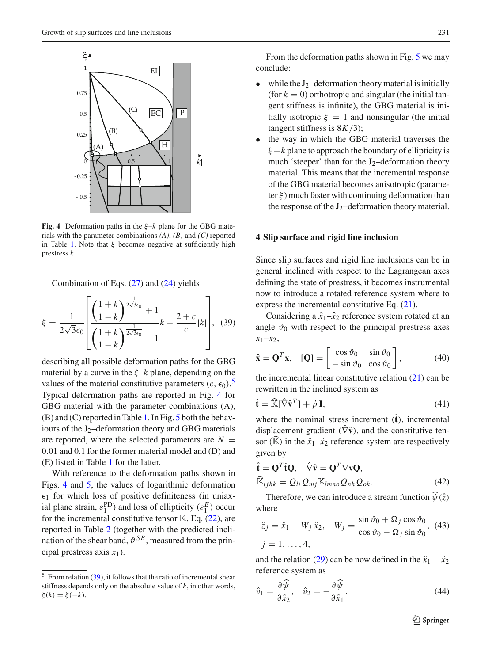

<span id="page-6-1"></span>**Fig. 4** Deformation paths in the ξ–*k* plane for the GBG materials with the parameter combinations *(A)*, *(B)* and *(C)* reported in Table [1.](#page-3-2) Note that  $\xi$  becomes negative at sufficiently high prestress *k*

Combination of Eqs.  $(27)$  and  $(24)$  yields

<span id="page-6-2"></span>
$$
\xi = \frac{1}{2\sqrt{3}\epsilon_0} \left[ \frac{\left(\frac{1+k}{1-k}\right)^{\frac{1}{2\sqrt{3}\epsilon_0}} + 1}{\left(\frac{1+k}{1-k}\right)^{\frac{1}{2\sqrt{3}\epsilon_0}} - 1} k - \frac{2+c}{c} |k| \right], \quad (39)
$$

describing all possible deformation paths for the GBG material by a curve in the ξ–*k* plane, depending on the values of the material constitutive parameters  $(c, \epsilon_0)$ .<sup>[5](#page-6-0)</sup> Typical deformation paths are reported in Fig. [4](#page-6-1) for GBG material with the parameter combinations (A), (B) and (C) reported in Table [1.](#page-3-2) In Fig. [5](#page-7-0) both the behaviours of the  $J_2$ -deformation theory and GBG materials are reported, where the selected parameters are  $N =$ 0.01 and 0.1 for the former material model and (D) and (E) listed in Table [1](#page-3-2) for the latter.

With reference to the deformation paths shown in Figs. [4](#page-6-1) and [5,](#page-7-0) the values of logarithmic deformation  $\epsilon_1$  for which loss of positive definiteness (in uniaxial plane strain,  $\varepsilon_1^{\text{PD}}$ ) and loss of ellipticity  $(\varepsilon_1^E)$  occur for the incremental constitutive tensor  $\mathbb{K}$ , Eq. [\(22\)](#page-4-1), are reported in Table [2](#page-7-1) (together with the predicted inclination of the shear band,  $\vartheta^{SB}$ , measured from the principal prestress axis *x*1).

From the deformation paths shown in Fig. [5](#page-7-0) we may conclude:

- while the  $J_2$ -deformation theory material is initially (for  $k = 0$ ) orthotropic and singular (the initial tangent stiffness is infinite), the GBG material is initially isotropic  $\xi = 1$  and nonsingular (the initial tangent stiffness is 8*K*/3);
- the way in which the GBG material traverses the  $\xi - k$  plane to approach the boundary of ellipticity is much 'steeper' than for the  $J_2$ -deformation theory material. This means that the incremental response of the GBG material becomes anisotropic (parameter  $\xi$ ) much faster with continuing deformation than the response of the  $J_2$ –deformation theory material.

#### **4 Slip surface and rigid line inclusion**

Since slip surfaces and rigid line inclusions can be in general inclined with respect to the Lagrangean axes defining the state of prestress, it becomes instrumental now to introduce a rotated reference system where to express the incremental constitutive Eq. [\(21\)](#page-4-0).

Considering a  $\hat{x}_1 - \hat{x}_2$  reference system rotated at an angle  $\vartheta_0$  with respect to the principal prestress axes  $x_1 - x_2$ , Considering a  $\hat{x}_1 - \hat{x}_2$  reference sys<br>angle  $\vartheta_0$  with respect to the princip<br> $x_1 - x_2$ ,<br> $\hat{\mathbf{x}} = \mathbf{Q}^T \mathbf{x}$ ,  $[\mathbf{Q}] = \begin{bmatrix} \cos \vartheta_0 & \sin \vartheta_0 \\ \sin \vartheta_0 & \cos \vartheta_0 \end{bmatrix}$ 

$$
\hat{\mathbf{x}} = \mathbf{Q}^T \mathbf{x}, \quad [\mathbf{Q}] = \begin{bmatrix} \cos \vartheta_0 & \sin \vartheta_0 \\ -\sin \vartheta_0 & \cos \vartheta_0 \end{bmatrix}, \tag{40}
$$

the incremental linear constitutive relation  $(21)$  can be rewritten in the inclined system as the independent<br>  $\hat{\mathbf{t}} = \hat{\mathbb{K}}$ 

$$
\hat{\mathbf{t}} = \widehat{\mathbb{K}}[\widehat{\nabla}\widehat{\mathbf{v}}^T] + \dot{p}\,\mathbf{I},\tag{41}
$$

where the nominal stress increment  $(\hat{\mathbf{t}})$ , incremental displacement gradient  $(\hat{\nabla}\hat{\mathbf{v}})$ , and the constitutive tenwhere the nominal stress increment  $(\hat{\mathbf{t}})$ , incremental<br>displacement gradient  $(\hat{\nabla}\hat{\mathbf{v}})$ , and the constitutive ten-<br>sor  $(\hat{\mathbb{K}})$  in the  $\hat{x}_1 - \hat{x}_2$  reference system are respectively given by

given by  
\n
$$
\hat{\mathbf{t}} = \mathbf{Q}^T \mathbf{i} \mathbf{Q}, \quad \hat{\nabla} \hat{\mathbf{v}} = \mathbf{Q}^T \nabla \mathbf{v} \mathbf{Q},
$$
\n
$$
\widehat{\mathbb{K}}_{ijhk} = Q_{li} Q_{mj} \mathbb{K}_{lmno} Q_{nh} Q_{ok}.
$$
\n(42)  
\nTherefore, we can introduce a stream function  $\widehat{\psi}(\hat{z})$ 

where

$$
\hat{z}_j = \hat{x}_1 + W_j \,\hat{x}_2, \quad W_j = \frac{\sin \vartheta_0 + \Omega_j \cos \vartheta_0}{\cos \vartheta_0 - \Omega_j \sin \vartheta_0}, \tag{43}
$$
\n
$$
j = 1, \dots, 4,
$$

and the relation [\(29\)](#page-5-4) can be now defined in the  $\hat{x}_1 - \hat{x}_2$ reference system as

$$
\hat{v}_1 = \frac{\partial \widehat{\psi}}{\partial \hat{x}_2}, \quad \hat{v}_2 = -\frac{\partial \widehat{\psi}}{\partial \hat{x}_1}.
$$
\n(44)

<span id="page-6-0"></span> $\overline{5}$  From relation [\(39\)](#page-6-2), it follows that the ratio of incremental shear stiffness depends only on the absolute value of *k*, in other words, ξ(*k*) = ξ(−*k*).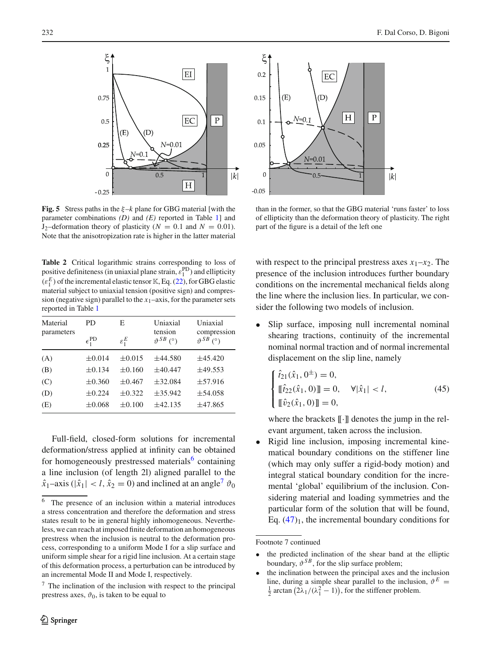

<span id="page-7-0"></span>**Fig. 5** Stress paths in the  $\xi - k$  plane for GBG material [with the parameter combinations *(D)* and *(E)* reported in Table [1\]](#page-3-2) and  $J_2$ –deformation theory of plasticity ( $N = 0.1$  and  $N = 0.01$ ). Note that the anisotropization rate is higher in the latter material

<span id="page-7-1"></span>**Table 2** Critical logarithmic strains corresponding to loss of positive definiteness (in uniaxial plane strain,  $\varepsilon_1^{\text{PD}}$ ) and ellipticity  $(\varepsilon_1^E)$  of the incremental elastic tensor K, Eq. [\(22\)](#page-4-1), for GBG elastic material subject to uniaxial tension (positive sign) and compression (negative sign) parallel to the  $x_1$ –axis, for the parameter sets reported in Table [1](#page-3-2)

| Material<br>parameters | PD                    | Е                 | Uniaxial<br>tension<br>$\vartheta^{SB}$ (°) | Uniaxial<br>compression<br>$\vartheta^{SB}$ (°) |
|------------------------|-----------------------|-------------------|---------------------------------------------|-------------------------------------------------|
|                        | $\epsilon_1^{\rm PD}$ | $\varepsilon_1^E$ |                                             |                                                 |
| (A)                    | $\pm 0.014$           | $\pm 0.015$       | $\pm 44.580$                                | ±45.420                                         |
| (B)                    | $\pm 0.134$           | $\pm 0.160$       | $\pm 40.447$                                | ±49.553                                         |
| (C)                    | $\pm 0.360$           | $\pm 0.467$       | $\pm 32.084$                                | $\pm$ 57.916                                    |
| (D)                    | $\pm 0.224$           | $\pm 0.322$       | ±35.942                                     | $\pm$ 54.058                                    |
| (E)                    | $\pm 0.068$           | $\pm 0.100$       | ±42.135                                     | ±47.865                                         |
|                        |                       |                   |                                             |                                                 |

Full-field, closed-form solutions for incremental deformation/stress applied at infinity can be obtained for homogeneously prestressed materials<sup>6</sup> containing a line inclusion (of length 2l) aligned parallel to the  $\hat{x}_1$ –axis ( $|\hat{x}_1|$  < *l*,  $\hat{x}_2$  = 0) and inclined at an angle<sup>[7](#page-7-3)</sup>  $\vartheta_0$ 

<span id="page-7-3"></span><sup>7</sup> The inclination of the inclusion with respect to the principal prestress axes,  $\vartheta_0$ , is taken to be equal to



than in the former, so that the GBG material 'runs faster' to loss of ellipticity than the deformation theory of plasticity. The right part of the figure is a detail of the left one

with respect to the principal prestress axes  $x_1-x_2$ . The presence of the inclusion introduces further boundary conditions on the incremental mechanical fields along the line where the inclusion lies. In particular, we consider the following two models of inclusion.

Slip surface, imposing null incremental nominal shearing tractions, continuity of the incremental nominal normal traction and of normal incremental displacement on the slip line, namely

<span id="page-7-4"></span>
$$
\begin{cases}\n\hat{t}_{21}(\hat{x}_1, 0^{\pm}) = 0, \\
\llbracket \hat{t}_{22}(\hat{x}_1, 0) \rrbracket = 0, \quad \forall |\hat{x}_1| < l, \\
\llbracket \hat{v}_2(\hat{x}_1, 0) \rrbracket = 0,\n\end{cases}
$$
\n(45)

where the brackets  $\llbracket \cdot \rrbracket$  denotes the jump in the relevant argument, taken across the inclusion.

• Rigid line inclusion, imposing incremental kinematical boundary conditions on the stiffener line (which may only suffer a rigid-body motion) and integral statical boundary condition for the incremental 'global' equilibrium of the inclusion. Considering material and loading symmetries and the particular form of the solution that will be found, Eq.  $(47)_1$  $(47)_1$ , the incremental boundary conditions for

<span id="page-7-2"></span><sup>6</sup> The presence of an inclusion within a material introduces a stress concentration and therefore the deformation and stress states result to be in general highly inhomogeneous. Nevertheless, we can reach at imposed finite deformation an homogeneous prestress when the inclusion is neutral to the deformation process, corresponding to a uniform Mode I for a slip surface and uniform simple shear for a rigid line inclusion. At a certain stage of this deformation process, a perturbation can be introduced by an incremental Mode II and Mode I, respectively.

Footnote 7 continued

the predicted inclination of the shear band at the elliptic boundary,  $\vartheta^{SB}$ , for the slip surface problem;

the inclination between the principal axes and the inclusion line, during a simple shear parallel to the inclusion,  $\vartheta^E$  = boundary,  $\vartheta^{SB}$ , for the slip surface problem;<br>the inclination between the principal axes and the<br>line, during a simple shear parallel to the inclusion<br> $\frac{1}{2}$  arctan  $(2\lambda_1/(\lambda_1^2-1))$ , for the stiffener problem.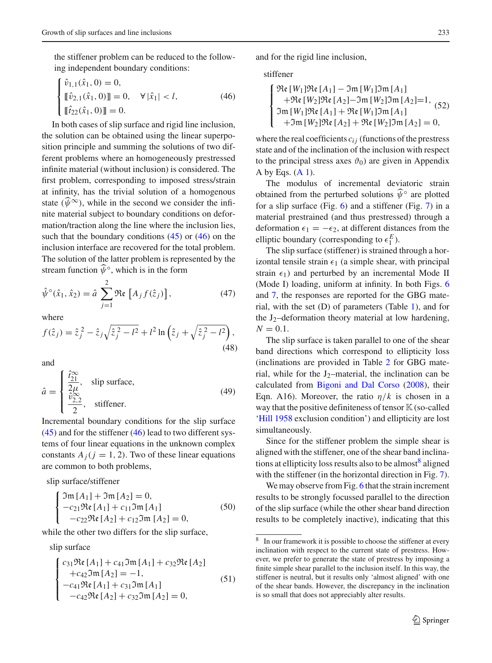the stiffener problem can be reduced to the following independent boundary conditions:<br> $\left( \hat{a} \right)$  ( $\hat{a}$ ) = 0

$$
\begin{cases} \hat{v}_{1,1}(\hat{x}_1, 0) = 0, \\ \llbracket \hat{v}_{2,1}(\hat{x}_1, 0) \rrbracket = 0, \quad \forall |\hat{x}_1| < l, \\ \llbracket \hat{t}_{22}(\hat{x}_1, 0) \rrbracket = 0. \end{cases}
$$
(46)

<span id="page-8-1"></span>In both cases of slip surface and rigid line inclusion, the solution can be obtained using the linear superposition principle and summing the solutions of two different problems where an homogeneously prestressed infinite material (without inclusion) is considered. The first problem, corresponding to imposed stress/strain at infinity, has the trivial solution of a homogenous state  $(\widehat{\psi}^{\infty})$ , while in the second we consider the infinite material subject to boundary conditions on deformation/traction along the line where the inclusion lies, such that the boundary conditions  $(45)$  or  $(46)$  on the inclusion interface are recovered for the total problem. The solution of the latter problem is represented by the stream function  $\widehat{\psi}^{\circ}$ , which is in the form Re 

<span id="page-8-0"></span>
$$
\hat{\psi}^{\circ}(\hat{x}_1, \hat{x}_2) = \hat{a} \sum_{j=1}^{2} \Re \mathbf{e} \left[ A_j f(\hat{z}_j) \right],\tag{47}
$$
\nwhere

\n
$$
f(\hat{z}_j) = \hat{z}_j^2 - \hat{z}_j \sqrt{\hat{z}_j^2 - l^2} + l^2 \ln \left( \hat{z}_j + \sqrt{\hat{z}_j^2 - l^2} \right),
$$

where

$$
f(\hat{z}_j) = \hat{z}_j^2 - \hat{z}_j \sqrt{\hat{z}_j^2 - l^2} + l^2 \ln \left(\hat{z}_j + \sqrt{\hat{z}_j^2 - l^2}\right),\tag{48}
$$

and

$$
\hat{a} = \begin{cases} \frac{\hat{t}_{21}^{\infty}}{2\mu}, & \text{slip surface,} \\ \frac{\hat{v}_{2,2}^{\infty}}{2}, & \text{stiffener.} \end{cases}
$$
(49)

Incremental boundary conditions for the slip surface  $(45)$  and for the stiffener  $(46)$  lead to two different systems of four linear equations in the unknown complex constants  $A_j$  ( $j = 1, 2$ ). Two of these linear equations are common to both problems, <sub>c</sub>c

<span id="page-8-3"></span>slip surface/stiffener

$$
\begin{cases}\n\Im \mathfrak{m}[A_1] + \Im \mathfrak{m}[A_2] = 0, \\
-c_{21} \Re \mathfrak{e}[A_1] + c_{11} \Im \mathfrak{m}[A_1] \\
-c_{22} \Re \mathfrak{e}[A_2] + c_{12} \Im \mathfrak{m}[A_2] = 0,\n\end{cases}
$$
\n(50)

<span id="page-8-4"></span>while the other two differs for the slip surface, ue<br>..

slip surface

$$
\begin{cases}\nc_{31}\Re\mathbf{e}[A_1] + c_{41}\Im\mathfrak{m}[A_1] + c_{32}\Re\mathbf{e}[A_2] \\
+c_{42}\Im\mathfrak{m}[A_2] = -1, \\
-c_{41}\Re\{A_1\} + c_{31}\Im\mathfrak{m}[A_1] \\
-c_{42}\Re\mathbf{e}[A_2] + c_{32}\Im\mathfrak{m}[A_2] = 0,\n\end{cases} (51)
$$

and for the rigid line inclusion, ⎪⎪⎨

stiffener

$$
\begin{cases}\n\Re\epsilon \left[W_1\right]\Re\epsilon \left[A_1\right] - \Im\mathfrak{m}\left[W_1\right]\Im\mathfrak{m}\left[A_1\right] \\
+\Re\epsilon \left[W_2\right]\Re\epsilon \left[A_2\right] - \Im\mathfrak{m}\left[W_2\right]\Im\mathfrak{m}\left[A_2\right] = 1, \\
\Im\mathfrak{m}\left[W_1\right]\Re\epsilon \left[A_1\right] + \Re\epsilon \left[W_1\right]\Im\mathfrak{m}\left[A_1\right] \\
+\Im\mathfrak{m}\left[W_2\right]\Re\epsilon \left[A_2\right] + \Re\epsilon \left[W_2\right]\Im\mathfrak{m}\left[A_2\right] = 0,\n\end{cases} (52)
$$

where the real coefficients  $c_{ij}$  (functions of the prestress state and of the inclination of the inclusion with respect to the principal stress axes  $\vartheta_0$ ) are given in Appendix A by Eqs.  $(A 1)$ .

The modulus of incremental deviatoric strain obtained from the perturbed solutions  $\widehat{\psi}^{\circ}$  are plotted for a slip surface (Fig.  $6$ ) and a stiffener (Fig. [7\)](#page-10-0) in a material prestrained (and thus prestressed) through a deformation  $\epsilon_1 = -\epsilon_2$ , at different distances from the elliptic boundary (corresponding to  $\epsilon_1^E$ ).

The slip surface (stiffener) is strained through a horizontal tensile strain  $\epsilon_1$  (a simple shear, with principal strain  $\epsilon_1$ ) and perturbed by an incremental Mode II (Mode I) loading, uniform at infinity. In both Figs. [6](#page-9-0) and [7,](#page-10-0) the responses are reported for the GBG material, with the set (D) of parameters (Table [1\)](#page-3-2), and for the  $J_2$ -deformation theory material at low hardening,  $N = 0.1$ .

The slip surface is taken parallel to one of the shear band directions which correspond to ellipticity loss (inclinations are provided in Table [2](#page-7-1) for GBG material, while for the J<sub>2</sub>-material, the inclination can be calculated from [Bigoni and Dal Corso](#page-12-0) [\(2008\)](#page-12-0), their Eqn. A16). Moreover, the ratio  $\eta/k$  is chosen in a way that the positive definiteness of tensor  $\mathbb K$  (so-called ['Hill 1958](#page-12-9) exclusion condition') and ellipticity are lost simultaneously.

Since for the stiffener problem the simple shear is aligned with the stiffener, one of the shear band inclinations at ellipticity loss results also to be almost<sup>8</sup> aligned with the stiffener (in the horizontal direction in Fig. [7\)](#page-10-0).

We may observe from Fig. [6](#page-9-0) that the strain increment results to be strongly focussed parallel to the direction of the slip surface (while the other shear band direction results to be completely inactive), indicating that this

<span id="page-8-2"></span><sup>8</sup> In our framework it is possible to choose the stiffener at every inclination with respect to the current state of prestress. However, we prefer to generate the state of prestress by imposing a finite simple shear parallel to the inclusion itself. In this way, the stiffener is neutral, but it results only 'almost aligned' with one of the shear bands. However, the discrepancy in the inclination is so small that does not appreciably alter results.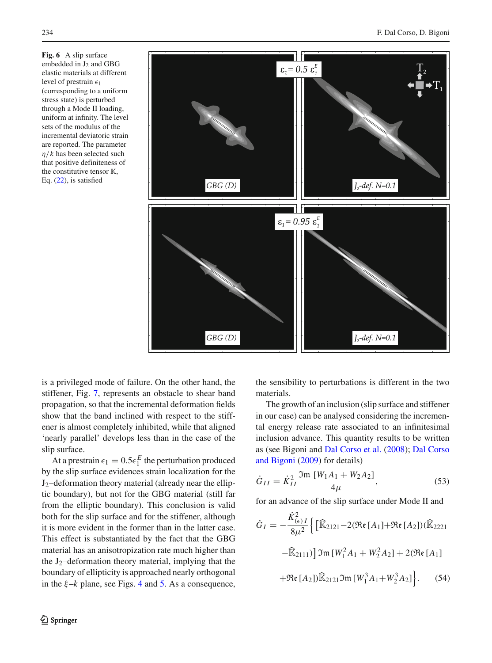<span id="page-9-0"></span>**Fig. 6** A slip surface embedded in  $J_2$  and GBG elastic materials at different level of prestrain  $\epsilon_1$ (corresponding to a uniform stress state) is perturbed through a Mode II loading, uniform at infinity. The level sets of the modulus of the incremental deviatoric strain are reported. The parameter η/*k* has been selected such that positive definiteness of the constitutive tensor  $K$ , Eq. [\(22\)](#page-4-1), is satisfied



is a privileged mode of failure. On the other hand, the stiffener, Fig. [7,](#page-10-0) represents an obstacle to shear band propagation, so that the incremental deformation fields show that the band inclined with respect to the stiffener is almost completely inhibited, while that aligned 'nearly parallel' develops less than in the case of the slip surface.

At a prestrain  $\epsilon_1 = 0.5\epsilon_1^E$  the perturbation produced by the slip surface evidences strain localization for the  $J_2$ –deformation theory material (already near the elliptic boundary), but not for the GBG material (still far from the elliptic boundary). This conclusion is valid both for the slip surface and for the stiffener, although it is more evident in the former than in the latter case. This effect is substantiated by the fact that the GBG material has an anisotropization rate much higher than the  $J_2$ –deformation theory material, implying that the boundary of ellipticity is approached nearly orthogonal in the  $\xi$ –*k* plane, see Figs. [4](#page-6-1) and [5.](#page-7-0) As a consequence,

the sensibility to perturbations is different in the two materials.

The growth of an inclusion (slip surface and stiffener in our case) can be analysed considering the incremental energy release rate associated to an infinitesimal inclusion advance. This quantity results to be written as (see Bigoni and [Dal Corso et al.](#page-12-1) [\(2008](#page-12-1)); Dal Corso and Bigoni [\(2009](#page-12-3)) for details)

$$
\dot{G}_{II} = \dot{K}_{II}^2 \frac{\Im \mathfrak{m} \left[ W_1 A_1 + W_2 A_2 \right]}{4\mu},\tag{53}
$$

for an advance of the slip surface under Mode II and  
\n
$$
\dot{G}_I = -\frac{\dot{K}_{(\epsilon)}^2 I}{8\mu^2} \Big\{ \Big[ \widehat{\mathbb{K}}_{2121} - 2(\Re\epsilon [A_1] + \Re\epsilon [A_2]) (\widehat{\mathbb{K}}_{2221} - \widehat{\mathbb{K}}_{2111}) \Big] \mathfrak{Im} \left[ W_1^2 A_1 + W_2^2 A_2 \right] + 2(\Re\epsilon [A_1] + \Re\epsilon [A_2]) \widehat{\mathbb{K}}_{2121} \mathfrak{Im} \left[ W_1^3 A_1 + W_2^3 A_2 \right] \Big\}. \tag{54}
$$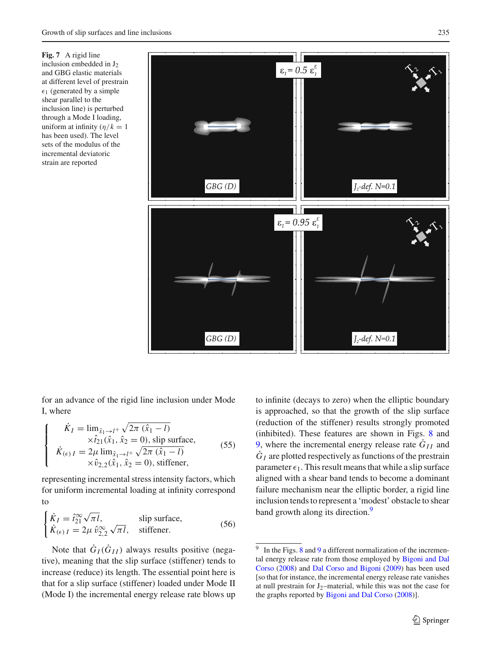<span id="page-10-0"></span>**Fig. 7** A rigid line inclusion embedded in  $J_2$ and GBG elastic materials at different level of prestrain  $\epsilon_1$  (generated by a simple shear parallel to the inclusion line) is perturbed through a Mode I loading, uniform at infinity  $(\eta/k = 1)$ has been used). The level sets of the modulus of the incremental deviatoric strain are reported



for an advance of the rigid line inclusion under Mode I, where  $\overline{a}$ fo۱<br>س

 $\sqrt{ }$ 

$$
\dot{K}_I = \lim_{\hat{x}_1 \to l^+} \sqrt{2\pi (\hat{x}_1 - l)}
$$
  
\n
$$
\times \hat{t}_{21}(\hat{x}_1, \hat{x}_2 = 0), \text{ slip surface,}
$$
  
\n
$$
\dot{K}_{(\epsilon)I} = 2\mu \lim_{\hat{x}_1 \to l^+} \sqrt{2\pi (\hat{x}_1 - l)}
$$
  
\n
$$
\times \hat{v}_{2,2}(\hat{x}_1, \hat{x}_2 = 0), \text{stiffener,}
$$
\n(55)

representing incremental stress intensity factors, which for uniform incremental loading at infinity correspond to

$$
\begin{cases}\n\dot{K}_I = \hat{i}_{21}^{\infty} \sqrt{\pi I}, & \text{slip surface,} \\
\dot{K}_{(\epsilon)I} = 2\mu \,\hat{v}_{2,2}^{\infty} \sqrt{\pi I}, & \text{stiffener.}\n\end{cases}
$$
\n(56)

Note that  $G_I(G_{II})$  always results positive (negative), meaning that the slip surface (stiffener) tends to increase (reduce) its length. The essential point here is that for a slip surface (stiffener) loaded under Mode II (Mode I) the incremental energy release rate blows up to infinite (decays to zero) when the elliptic boundary is approached, so that the growth of the slip surface (reduction of the stiffener) results strongly promoted (inhibited). These features are shown in Figs. [8](#page-11-1) and [9,](#page-11-2) where the incremental energy release rate  $\dot{G}_{II}$  and  $\dot{G}_I$  are plotted respectively as functions of the prestrain parameter  $\epsilon_1$ . This result means that while a slip surface aligned with a shear band tends to become a dominant failure mechanism near the elliptic border, a rigid line inclusion tends to represent a 'modest' obstacle to shear band growth along its direction.<sup>9</sup>

 $\mathcal{D}$  Springer

<span id="page-10-1"></span> $9\;\;$  $9\;\;$  In the Figs. [8](#page-11-1) and 9 a different normalization of the incremental en[ergy](#page-12-0) [release](#page-12-0) [rate](#page-12-0) [from](#page-12-0) [those](#page-12-0) [employed](#page-12-0) [by](#page-12-0) Bigoni and Dal Corso [\(2008](#page-12-0)) and [Dal Corso and Bigoni](#page-12-3) [\(2009](#page-12-3)) has been used [so that for instance, the incremental energy release rate vanishes at null prestrain for  $J_2$ –material, while this was not the case for the graphs reported by [Bigoni and Dal Corso](#page-12-0) [\(2008\)](#page-12-0)].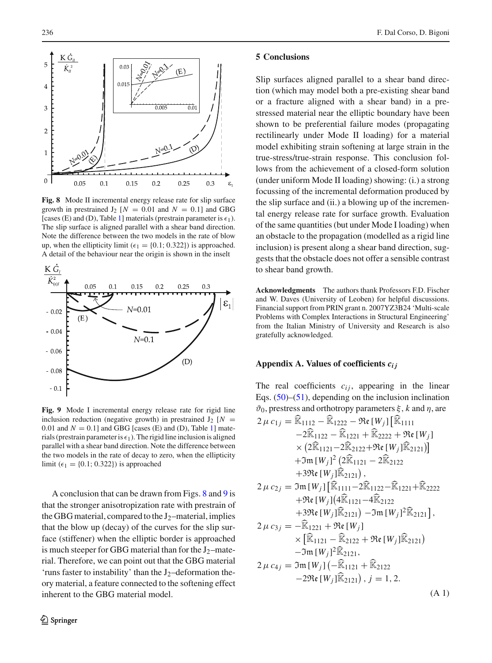

<span id="page-11-1"></span>**Fig. 8** Mode II incremental energy release rate for slip surface growth in prestrained  $J_2$  [ $N = 0.01$  and  $N = 0.1$ ] and GBG [cases (E) and (D), Table [1\]](#page-3-2) materials (prestrain parameter is  $\epsilon_1$ ). The slip surface is aligned parallel with a shear band direction. Note the difference between the two models in the rate of blow up, when the ellipticity limit ( $\epsilon_1 = \{0.1; 0.322\}$ ) is approached. A detail of the behaviour near the origin is shown in the inselt



<span id="page-11-2"></span>**Fig. 9** Mode I incremental energy release rate for rigid line inclusion reduction (negative growth) in prestrained  $J_2$  [ $N =$ 0.01 and  $N = 0.1$ ] and GBG [cases (E) and (D), Table [1\]](#page-3-2) materials (prestrain parameter is  $\epsilon_1$ ). The rigid line inclusion is aligned parallel with a shear band direction. Note the difference between the two models in the rate of decay to zero, when the ellipticity limit ( $\epsilon_1 = \{0.1; 0.322\}$ ) is approached

A conclusion that can be drawn from Figs. [8](#page-11-1) and [9](#page-11-2) is that the stronger anisotropization rate with prestrain of the GBG material, compared to the  $J_2$ –material, implies that the blow up (decay) of the curves for the slip surface (stiffener) when the elliptic border is approached is much steeper for GBG material than for the  $J_2$ –material. Therefore, we can point out that the GBG material 'runs faster to instability' than the  $J_2$ -deformation theory material, a feature connected to the softening effect inherent to the GBG material model.

#### **5 Conclusions**

Slip surfaces aligned parallel to a shear band direction (which may model both a pre-existing shear band or a fracture aligned with a shear band) in a prestressed material near the elliptic boundary have been shown to be preferential failure modes (propagating rectilinearly under Mode II loading) for a material model exhibiting strain softening at large strain in the true-stress/true-strain response. This conclusion follows from the achievement of a closed-form solution (under uniform Mode II loading) showing: (i.) a strong focussing of the incremental deformation produced by the slip surface and (ii.) a blowing up of the incremental energy release rate for surface growth. Evaluation of the same quantities (but under Mode I loading) when an obstacle to the propagation (modelled as a rigid line inclusion) is present along a shear band direction, suggests that the obstacle does not offer a sensible contrast to shear band growth.

**Acknowledgments** The authors thank Professors F.D. Fischer and W. Daves (University of Leoben) for helpful discussions. Financial support from PRIN grant n. 2007YZ3B24 'Multi-scale Problems with Complex Interactions in Structural Engineering' from the Italian Ministry of University and Research is also gratefully acknowledged.

#### **Appendix A. Values of coefficients** *cij*

<span id="page-11-0"></span>The real coefficients  $c_{ij}$ , appearing in the linear Eqs.  $(50)$ – $(51)$ , depending on the inclusion inclination  $\vartheta_0$ , prestress and orthotropy parameters  $\xi$ , *k* and  $\eta$ , are Eqs. (50)–(51), depending on the inclusion is<br>  $\vartheta_0$ , prestress and orthotropy parameters  $\xi$ ,  $k$  and  $\vartheta_0$ , prestress and orthotropy parameters  $\xi$ ,  $k$  and  $2 \mu c_{1j} = \widehat{\mathbb{R}}_{1112} - \widehat{\mathbb{R}}_{1222} - \Re\{W_j\} [\widehat{\mathbb$ ,<br>Isi<br>B・食  $\widehat{\mathbb{K}}_{1112} - \widehat{\mathbb{K}}_{1222} - \mathfrak{Re} \, [\mathbb{K}^{-1}]$ <br> $-2\widehat{\mathbb{K}}_{1122} - \widehat{\mathbb{K}}_{1221} + \widehat{\mathbb{K}}$  $-2\widehat{\mathbb{K}}_{1122} - \widehat{\mathbb{K}}_{1221} + \widehat{\mathbb{K}}_{2222} + \mathfrak{Re}[W_i]$  $\hat{\mathbb{K}}_{1112} - \hat{\mathbb{K}}_{1222} - \mathfrak{Re} [W_j] [\hat{\mathbb{K}}_{1111}$ <br>  $-2\hat{\mathbb{K}}_{1122} - \hat{\mathbb{K}}_{1221} + \hat{\mathbb{K}}_{2222} + \mathfrak{Re} [W_j]$ <br>  $\times (2\hat{\mathbb{K}}_{1121} - 2\hat{\mathbb{K}}_{2122} + \mathfrak{Re} [W_j] \hat{\mathbb{K}}_{2121})$  $+3m[W_j]^2(2\mathbb{K}_{1121}-2\mathbb{K}_{2122})$ 2 = 2 (2 m = 1222 + 2 m = 1222 + 2 m = 1222 + 2 m = 1222 + 2 m = 1222 + 2 m = 1222 + 2 m = 1222 + 2 m = 1222 + 2 m = 1222 + 2 m = 1222 + 2 m = 1222 + 2 m = 1222 + 2 m = 1222 + 2 m = 1222 + 2 m = 1222 + 2 m = 1222 + 2 m =  $-2\sqrt{2}$ [221<br>  $\times$  (2 $\widehat{\mathbb{K}}$ <sub>1121</sub> - 2 $\widehat{\mathbb{K}}$ <sub>212</sub><br>  $+3\sqrt{2}$ [ $W_j$ ]<sup>2</sup> (2 $\widehat{\mathbb{K}}$ <sub>1121</sub><br>  $+3\Re$ e [ $W_j$ ] $\widehat{\mathbb{K}}$ <sub>2121</sub>)  $+3\Re\epsilon[W_i]\widehat{\mathbb{K}}_{2121}),$  $2 \mu c_{2j} = \Im \mathfrak{m} [W_j]$  $\overline{\mathbf{c}}$  $\int_{j}^{2}$  $(2\widehat{\mathbb{K}}_{1121}-2\widehat{\mathbb{K}}_{2122}$ <br>  $\widehat{\mathbb{K}}_{2121}$ ,<br>  $\vdots$ <sub>1111</sub>−2 $\widehat{\mathbb{K}}_{1122}-\widehat{\mathbb{K}}_{1221}+\widehat{\mathbb{K}}_{2222}$  $+$ Re  $[W_j](4\overline{\mathbb{K}}_{1121}-4\overline{\mathbb{K}}_{2122})$  $\hat{\mathbb{R}}_{2121}$ ),<br>-11111−2 $\widehat{\mathbb{R}}_{112}$ <br>-4 $\widehat{\mathbb{R}}_{1121}$ −4 $\widehat{\mathbb{R}}$ +321e [W<sub>j</sub>][k2121],<br>3m [W<sub>j</sub>][K<sub>1111</sub>-2K<sub>1122</sub>-K<sub>1221</sub>+K<sub>2;</sub><br>+3te [W<sub>j</sub>][K<sub>2121</sub>) -3m [W<sub>j</sub>]<sup>2</sup>K<sub>2121</sub>]  $-\Im$ m  $[W_j]^2\mathbb{K}_{2121}$ ,  $+$  Re [*W<sub>j</sub>*](4<sup>*R*</sup><sub>1121</sub><br>+ 3 Re [*W<sub>j</sub>*]*R*<sub>2121</sub>)<br>2 μ c<sub>3j</sub> = − R<sub>1221</sub> + Re [*W<sub>j</sub>*]  $+2\Re\epsilon$  [ $W_j$ ] (416<br>  $+3\Re\epsilon$  [ $W_j$ ]  $\widehat{\mathbb{R}}$ <br>  $- \widehat{\mathbb{R}}_{1221} + \Re\epsilon$ <br>  $\times$  [ $\widehat{\mathbb{R}}_{1121} - \widehat{\mathbb{R}}$ เห<br>ริ<br>โร๊ 2121) – Im [W<sub>j</sub>]<sup>2</sup> k<sub>212</sub><br>2121) – Im [W<sub>j</sub>]<sup>2</sup> k<sub>212</sub><br>[W<sub>j</sub>]<br>2122 + Ne [W<sub>j</sub>] k<sub>2121</sub>)  $-\Im$ m  $[W_j]^2\mathbb{K}_{2121}$ ,  $\mathfrak{R}_{\mathfrak{m}}$ <br> $\mathfrak{R}_{\mathbb{Z}}$  $2 \mu c_{4j} = \Im \mathfrak{m} \left[ W_j \right] \left( -\mathbb{K}_{1121} + \mathbb{K}_{2122} \right)$ t  $\widehat{\mathbb{K}}_{2122} + \mathfrak{R}$ <br>]<sup>2</sup> $\widehat{\mathbb{K}}_{2121}$ ,<br> $\widehat{\mathbb{K}}_{1121} + \widehat{\mathbb{K}}$ × [l<sup>os</sup>1121 – los2122<br>−3m [W<sub>j</sub>]<sup>2</sup>k 2121,<br>3m [W<sub>j</sub>] (−k <sub>1121</sub><br>−29te [W<sub>j</sub>]k 2121)  $-2\Re\epsilon[W_i]\widehat{\mathbb{K}}_{2121}$ ,  $i=1,2$ . (A 1)